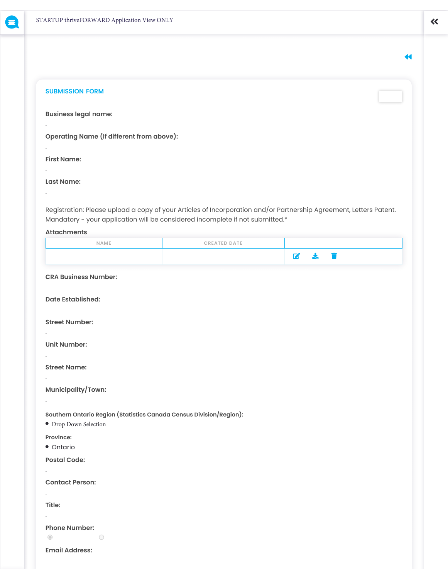$\blacktriangleleft$ 

 $\overline{\mathbf{K}}$ 

## **SUBMISSION FORM**

**Business legal name:**

**Operating Name (If different from above):** 

**First Name:**

.

.

.

.

**Last Name:**

Registration: Please upload a copy of your Articles of Incorporation and/or Partnership Agreement, Letters Patent. Mandatory - your application will be considered incomplete if not submitted.\*

## **Attachments**

| NAME | <b>CREATED DATE</b> |  |
|------|---------------------|--|
|      |                     |  |

# **CRA Business Number:**

**Date Established:**

### **Street Number:**

**Unit Number:**

.

.

.

.

**Street Name:**

**Municipality/Town:**

**Southern Ontario Region (Statistics Canada Census Division/Region):**

Drop Down Selection

**Province:**

Ontario

**Postal Code:**

**Contact Person:**

**Title:**

.

.

.

## **Phone Number:**

 $\bigcirc$ 

 $\circledcirc$ 

**Email Address:**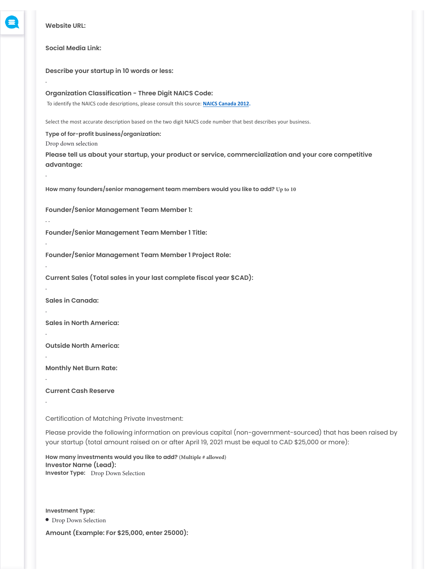

**Website URL:**

.

.

. .

.

.

.

.

.

.

.

.

**Social Media Link:**

**Describe your startup in 10 words or less:**

**Organization Classification - Three Digit NAICS Code:** To identify the NAICS code descriptions, please consult this source: **[NAICS Canada 2012.](https://www23.statcan.gc.ca/imdb/p3VD.pl?Function=getVDPage1&db=imdb&dis=2&adm=8&TVD=118464)**

Select the most accurate description based on the two digit NAICS code number that best describes your business.

**Type of for-profit business/organization:** Drop down selection

**Please tell us about your startup, your product or service, commercialization and your core competitive advantage:**

**How many founders/senior management team members would you like to add? Up to 10**

**Founder/Senior Management Team Member 1:**

**Founder/Senior Management Team Member 1 Title:**

**Founder/Senior Management Team Member 1 Project Role:**

**Current Sales (Total sales in your last complete fiscal year \$CAD):**

**Sales in Canada:**

**Sales in North America:**

**Outside North America:**

**Monthly Net Burn Rate:**

**Current Cash Reserve**

Certification of Matching Private Investment:

Please provide the following information on previous capital (non-government-sourced) that has been raised by your startup (total amount raised on or after April 19, 2021 must be equal to CAD \$25,000 or more):

**How many investments would you like to add? (Multiple # allowed) Investor Name (Lead): Investor Type:** Drop Down Selection

**Investment Type:**

Drop Down Selection

**Amount (Example: For \$25,000, enter 25000):**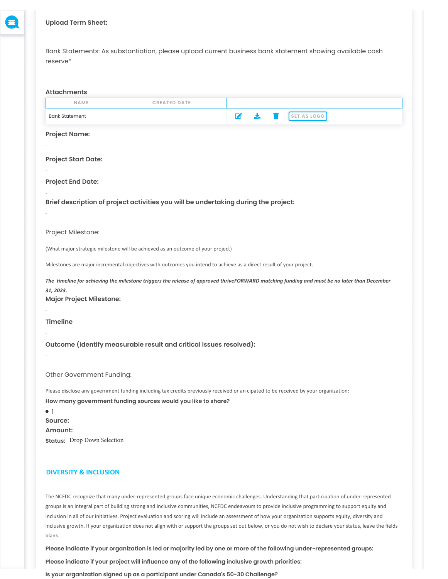

## **Upload Term Sheet:**

 $\mathbf{r}$ 

Bank Statements: As substantiation, please upload current business bank statement showing available cash reserve\*

| <b>Attachments</b>                                                      |                                                                                                                                                                                                     |              |                                                                                                                                                                                                                                                                                                                                                                                                                                                                                                                                                                                                                            |
|-------------------------------------------------------------------------|-----------------------------------------------------------------------------------------------------------------------------------------------------------------------------------------------------|--------------|----------------------------------------------------------------------------------------------------------------------------------------------------------------------------------------------------------------------------------------------------------------------------------------------------------------------------------------------------------------------------------------------------------------------------------------------------------------------------------------------------------------------------------------------------------------------------------------------------------------------------|
| NAME                                                                    | <b>CREATED DATE</b>                                                                                                                                                                                 |              |                                                                                                                                                                                                                                                                                                                                                                                                                                                                                                                                                                                                                            |
| <b>Bank Statement</b>                                                   |                                                                                                                                                                                                     | $\mathbf{z}$ | SET AS LOGO                                                                                                                                                                                                                                                                                                                                                                                                                                                                                                                                                                                                                |
| <b>Project Name:</b>                                                    |                                                                                                                                                                                                     |              |                                                                                                                                                                                                                                                                                                                                                                                                                                                                                                                                                                                                                            |
|                                                                         |                                                                                                                                                                                                     |              |                                                                                                                                                                                                                                                                                                                                                                                                                                                                                                                                                                                                                            |
| <b>Project Start Date:</b>                                              |                                                                                                                                                                                                     |              |                                                                                                                                                                                                                                                                                                                                                                                                                                                                                                                                                                                                                            |
|                                                                         |                                                                                                                                                                                                     |              |                                                                                                                                                                                                                                                                                                                                                                                                                                                                                                                                                                                                                            |
| <b>Project End Date:</b>                                                |                                                                                                                                                                                                     |              |                                                                                                                                                                                                                                                                                                                                                                                                                                                                                                                                                                                                                            |
|                                                                         | Brief description of project activities you will be undertaking during the project:                                                                                                                 |              |                                                                                                                                                                                                                                                                                                                                                                                                                                                                                                                                                                                                                            |
| Project Milestone:                                                      |                                                                                                                                                                                                     |              |                                                                                                                                                                                                                                                                                                                                                                                                                                                                                                                                                                                                                            |
|                                                                         | (What major strategic milestone will be achieved as an outcome of your project)                                                                                                                     |              |                                                                                                                                                                                                                                                                                                                                                                                                                                                                                                                                                                                                                            |
|                                                                         | Milestones are major incremental objectives with outcomes you intend to achieve as a direct result of your project.                                                                                 |              |                                                                                                                                                                                                                                                                                                                                                                                                                                                                                                                                                                                                                            |
| 31, 2023.<br><b>Major Project Milestone:</b>                            |                                                                                                                                                                                                     |              | The timeline for achieving the milestone triggers the release of approved thriveFORWARD matching funding and must be no later than December                                                                                                                                                                                                                                                                                                                                                                                                                                                                                |
| <b>Timeline</b>                                                         |                                                                                                                                                                                                     |              |                                                                                                                                                                                                                                                                                                                                                                                                                                                                                                                                                                                                                            |
|                                                                         |                                                                                                                                                                                                     |              |                                                                                                                                                                                                                                                                                                                                                                                                                                                                                                                                                                                                                            |
|                                                                         | Outcome (Identify measurable result and critical issues resolved):                                                                                                                                  |              |                                                                                                                                                                                                                                                                                                                                                                                                                                                                                                                                                                                                                            |
| Other Government Funding:                                               |                                                                                                                                                                                                     |              |                                                                                                                                                                                                                                                                                                                                                                                                                                                                                                                                                                                                                            |
| $\bullet$ 1<br>Source:<br>Amount:<br><b>Status:</b> Drop Down Selection | Please disclose any government funding including tax credits previously received or an cipated to be received by your organization:<br>How many government funding sources would you like to share? |              |                                                                                                                                                                                                                                                                                                                                                                                                                                                                                                                                                                                                                            |
| <b>DIVERSITY &amp; INCLUSION</b>                                        |                                                                                                                                                                                                     |              |                                                                                                                                                                                                                                                                                                                                                                                                                                                                                                                                                                                                                            |
|                                                                         |                                                                                                                                                                                                     |              | The NCFDC recognize that many under-represented groups face unique economic challenges. Understanding that participation of under-represented<br>groups is an integral part of building strong and inclusive communities, NCFDC endeavours to provide inclusive programming to support equity and<br>inclusion in all of our initiatives. Project evaluation and scoring will include an assessment of how your organization supports equity, diversity and<br>inclusive growth. If your organization does not align with or support the groups set out below, or you do not wish to declare your status, leave the fields |

blank.

**Please indicate if your organization is led or majority led by one or more of the following under-represented groups:**

**Please indicate if your project will influence any of the following inclusive growth priorities:**

**Is your organization signed up as a participant under Canada's 50-30 Challenge?**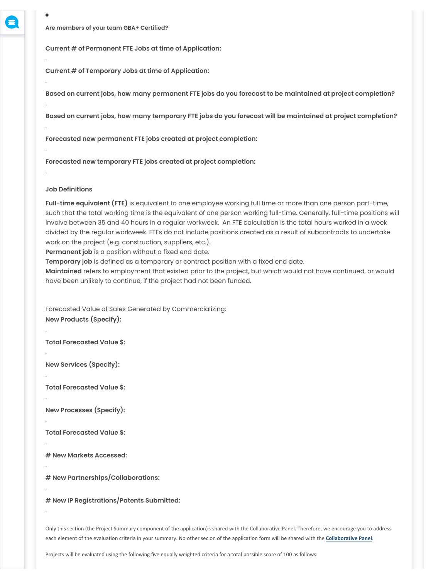$\bullet$ 

.

.

.

.

.

.

.

.

.

.

.

.

.

.

.

**Are members of your team GBA+ Certified?**

**Current # of Permanent FTE Jobs at time of Application:**

**Current # of Temporary Jobs at time of Application:**

**Based on current jobs, how many permanent FTE jobs do you forecast to be maintained at project completion?** 

**Based on current jobs, how many temporary FTE jobs do you forecast will be maintained at project completion?** 

**Forecasted new permanent FTE jobs created at project completion:**

**Forecasted new temporary FTE jobs created at project completion:**

### **Job Definitions**

**Full-time equivalent (FTE)** is equivalent to one employee working full time or more than one person part-time, such that the total working time is the equivalent of one person working full-time. Generally, full-time positions will involve between 35 and 40 hours in a regular workweek. An FTE calculation is the total hours worked in a week divided by the regular workweek. FTEs do not include positions created as a result of subcontracts to undertake work on the project (e.g. construction, suppliers, etc.).

**Permanent job** is a position without a fixed end date.

**Temporary job** is defined as a temporary or contract position with a fixed end date.

**Maintained** refers to employment that existed prior to the project, but which would not have continued, or would have been unlikely to continue, if the project had not been funded.

Forecasted Value of Sales Generated by Commercializing: **New Products (Specify):**

**Total Forecasted Value \$:**

**New Services (Specify):**

**Total Forecasted Value \$:**

**New Processes (Specify):**

**Total Forecasted Value \$:**

**# New Markets Accessed:**

**# New Partnerships/Collaborations:**

**# New IP Registrations/Patents Submitted:**

Only this section (the Project Summary component of the application) is shared with the Collaborative Panel. Therefore, we encourage you to address each element of the evaluation criteria in your summary. No other sec on of the application form will be shared with the **[Collabora](https://ncfdc.ca/)tive Panel**.

Projects will be evaluated using the following five equally weighted criteria for a total possible score of 100 as follows: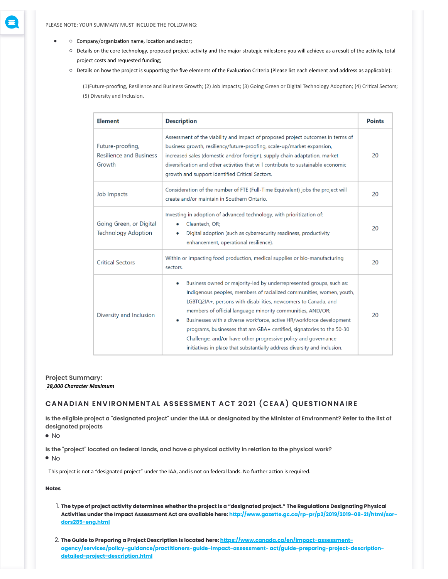- Company/organization name, location and sector;
	- Details on the core technology, proposed project activity and the major strategic milestone you will achieve as a result of the activity, total project costs and requested funding;
	- Details on how the project is supporting the five elements of the Evaluation Criteria (Please list each element and address as applicable):

(1)Future-proofing, Resilience and Business Growth; (2) Job Impacts; (3) Going Green or Digital Technology Adoption; (4) Critical Sectors; (5) Diversity and Inclusion.

| <b>Element</b>                                               | <b>Description</b>                                                                                                                                                                                                                                                                                                                                                                                                                                                                                                                                                               | <b>Points</b> |
|--------------------------------------------------------------|----------------------------------------------------------------------------------------------------------------------------------------------------------------------------------------------------------------------------------------------------------------------------------------------------------------------------------------------------------------------------------------------------------------------------------------------------------------------------------------------------------------------------------------------------------------------------------|---------------|
| Future-proofing,<br><b>Resilience and Business</b><br>Growth | Assessment of the viability and impact of proposed project outcomes in terms of<br>business growth, resiliency/future-proofing, scale-up/market expansion,<br>increased sales (domestic and/or foreign), supply chain adaptation, market<br>diversification and other activities that will contribute to sustainable economic<br>growth and support identified Critical Sectors.                                                                                                                                                                                                 |               |
| Job Impacts                                                  | Consideration of the number of FTE (Full-Time Equivalent) jobs the project will<br>create and/or maintain in Southern Ontario.                                                                                                                                                                                                                                                                                                                                                                                                                                                   | 20            |
| Going Green, or Digital<br><b>Technology Adoption</b>        | Investing in adoption of advanced technology, with prioritization of:<br>Cleantech, OR;<br>۰<br>Digital adoption (such as cybersecurity readiness, productivity<br>۰<br>enhancement, operational resilience).                                                                                                                                                                                                                                                                                                                                                                    | 20            |
| <b>Critical Sectors</b>                                      | Within or impacting food production, medical supplies or bio-manufacturing<br>sectors.                                                                                                                                                                                                                                                                                                                                                                                                                                                                                           | 20            |
| Diversity and Inclusion                                      | Business owned or majority-led by underrepresented groups, such as:<br>۰<br>Indigenous peoples, members of racialized communities, women, youth,<br>LGBTQ2IA+, persons with disabilities, newcomers to Canada, and<br>members of official language minority communities, AND/OR;<br>Businesses with a diverse workforce, active HR/workforce development<br>programs, businesses that are GBA+ certified, signatories to the 50-30<br>Challenge, and/or have other progressive policy and governance<br>initiatives in place that substantially address diversity and inclusion. | 20            |

# **Project Summary:** . *28,000 Character Maximum*

# **CANADIAN ENVIRONMENTAL ASSESSMENT ACT 2021 (CEAA) QUESTIONNAIRE**

**Is the eligible project a "designated project" under the IAA or designated by the Minister of Environment? Refer to the list of designated projects**

No

**Is the "project" located on federal lands, and have a physical activity in relation to the physical work?**

 $\bullet$  No

This project is not a "designated project" under the IAA, and is not on federal lands. No further action is required.

**Notes**

- 1. **The type of project activity determines whether the project is a "designated project." The Regulations Designating Physical [Activities under the Impact Assessment Act are available here: http://www.gazette.gc.ca/rp-pr/p2/2019/2019-08-21/html/sor](http://www.gazette.gc.ca/rp-pr/p2/2019/2019-08-21/html/sor-dors285-eng.html)dors285-eng.html**
- 2. **The Guide to Preparing a Project Description is located here: https://www.canada.ca/en/impact-assessment[agency/services/policy-guidance/practitioners-guide-impact-assessment- act/guide-preparing-project-description](https://www.canada.ca/en/impact-assessment-agency/services/policy-guidance/practitioners-guide-impact-assessment-%20act/guide-preparing-project-description-detailed-project-description.html)detailed-project-description.html**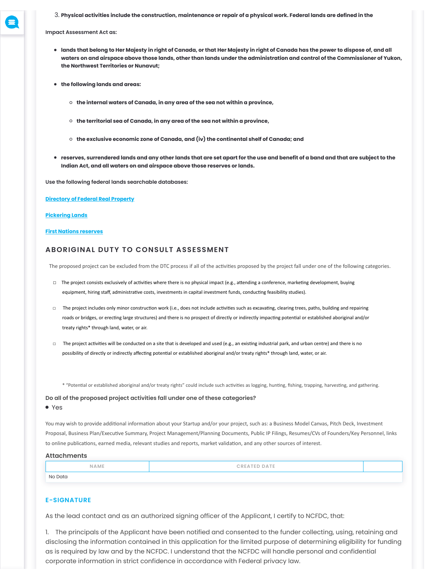3. **Physical activities include the construction, maintenance or repair of a physical work. Federal lands are defined in the**

**Impact Assessment Act as:**

- **lands that belong to Her Majesty in right of Canada, or that Her Majesty in right of Canada has the power to dispose of, and all waters on and airspace above those lands, other than lands under the administration and control of the Commissioner of Yukon, the Northwest Territories or Nunavut;**
- **the following lands and areas:**
	- **the internal waters of Canada, in any area of the sea not within a province,**
	- **the territorial sea of Canada, in any area of the sea not within a province,**
	- **the exclusive economic zone of Canada, and (iv) the continental shelf of Canada; and**
- **reserves, surrendered lands and any other lands that are set apart for the use and benefit of a band and that are subject to the Indian Act, and all waters on and airspace above those reserves or lands.**

**Use the following federal lands searchable databases:**

**[Directory of Federal Real Property](https://www.tbs-sct.gc.ca/dfrp-rbif/home-accueil-eng.aspx)**

#### **[Pickering Lands](https://www.tc.gc.ca/eng/ontario/pickering-menu-1362.htm)**

### **[First Nations reserves](https://sidait-atris.aadnc-aandc.gc.ca/atris_online/home-accueil.aspx)**

## **ABORIGINAL DUTY TO CONSULT ASSESSMENT**

The proposed project can be excluded from the DTC process if all of the activities proposed by the project fall under one of the following categories.

- □ The project consists exclusively of activities where there is no physical impact (e.g., attending a conference, marketing development, buying equipment, hiring staff, administrative costs, investments in capital investment funds, conducting feasibility studies).
- □ The project includes only minor construction work (i.e., does not include activities such as excavating, clearing trees, paths, building and repairing roads or bridges, or erecting large structures) and there is no prospect of directly or indirectly impacting potential or established aboriginal and/or treaty rights\* through land, water, or air.
- □ The project activities will be conducted on a site that is developed and used (e.g., an existing industrial park, and urban centre) and there is no possibility of directly or indirectly affecting potential or established aboriginal and/or treaty rights\* through land, water, or air.

\* "Potential or established aboriginal and/or treaty rights" could include such activities as logging, hunting, fishing, trapping, harvesting, and gathering.

#### **Do all of the proposed project activities fall under one of these categories?**

### Yes

You may wish to provide additional information about your Startup and/or your project, such as: a Business Model Canvas, Pitch Deck, Investment Proposal, Business Plan/Executive Summary, Project Management/Planning Documents, Public IP Filings, Resumes/CVs of Founders/Key Personnel, links to online publications, earned media, relevant studies and reports, market validation, and any other sources of interest.

#### **Attachments**

| NAME    | <b>CREATED DATE</b> |  |
|---------|---------------------|--|
| No Data |                     |  |

### **E-SIGNATURE**

As the lead contact and as an authorized signing officer of the Applicant, I certify to NCFDC, that:

1. The principals of the Applicant have been notified and consented to the funder collecting, using, retaining and disclosing the information contained in this application for the limited purpose of determining eligibility for funding as is required by law and by the NCFDC. I understand that the NCFDC will handle personal and confidential corporate information in strict confidence in accordance with Federal privacy law.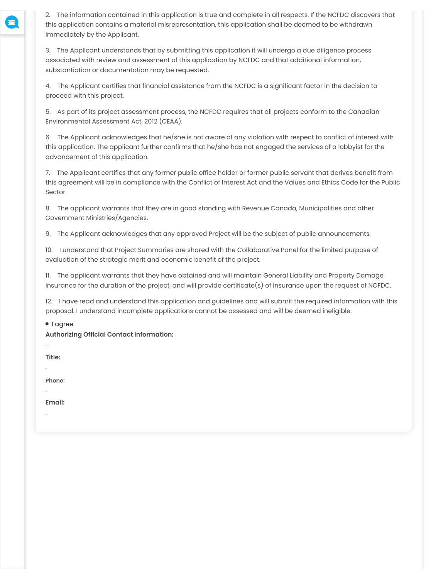2. The information contained in this application is true and complete in all respects. If the NCFDC discovers that this application contains a material misrepresentation, this application shall be deemed to be withdrawn immediately by the Applicant.

3. The Applicant understands that by submitting this application it will undergo a due diligence process associated with review and assessment of this application by NCFDC and that additional information, substantiation or documentation may be requested.

4. The Applicant certifies that financial assistance from the NCFDC is a significant factor in the decision to proceed with this project.

5. As part of its project assessment process, the NCFDC requires that all projects conform to the Canadian Environmental Assessment Act, 2012 (CEAA).

6. The Applicant acknowledges that he/she is not aware of any violation with respect to conflict of interest with this application. The applicant further confirms that he/she has not engaged the services of a lobbyist for the advancement of this application.

7. The Applicant certifies that any former public office holder or former public servant that derives benefit from this agreement will be in compliance with the Conflict of Interest Act and the Values and Ethics Code for the Public Sector.

8. The applicant warrants that they are in good standing with Revenue Canada, Municipalities and other Government Ministries/Agencies.

9. The Applicant acknowledges that any approved Project will be the subject of public announcements.

10. I understand that Project Summaries are shared with the Collaborative Panel for the limited purpose of evaluation of the strategic merit and economic benefit of the project.

11. The applicant warrants that they have obtained and will maintain General Liability and Property Damage insurance for the duration of the project, and will provide certificate(s) of insurance upon the request of NCFDC.

12. I have read and understand this application and guidelines and will submit the required information with this proposal. I understand incomplete applications cannot be assessed and will be deemed ineligible.

 $\bullet$  | agree

**Authorizing Official Contact Information:** 

. .

.

.

.

**Title:**

**Phone:**

**Email:**